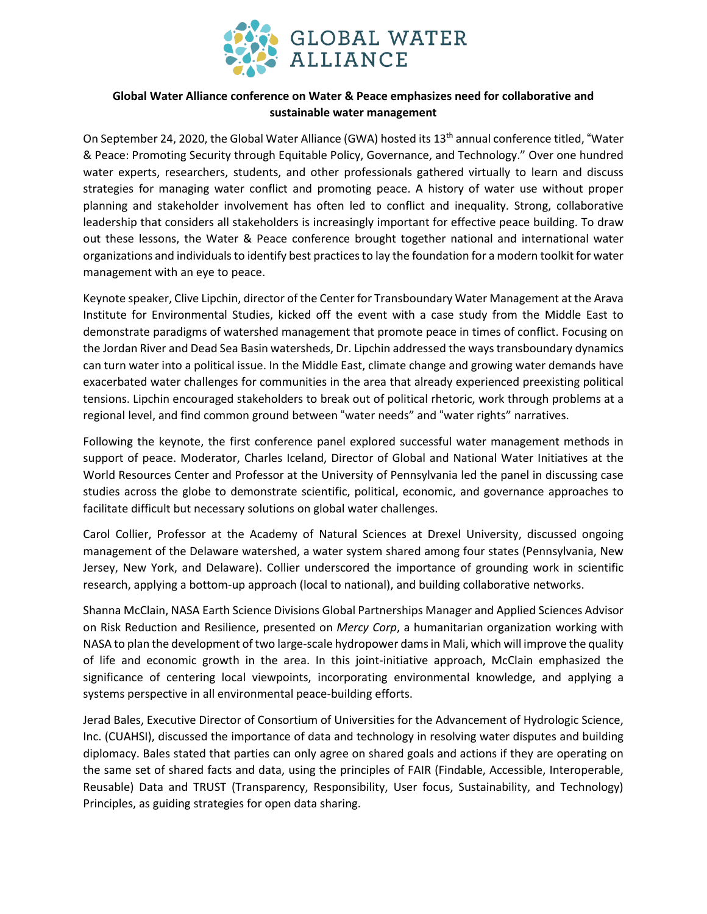

## **Global Water Alliance conference on Water & Peace emphasizes need for collaborative and sustainable water management**

On September 24, 2020, the Global Water Alliance (GWA) hosted its 13<sup>th</sup> annual conference titled, "Water & Peace: Promoting Security through Equitable Policy, Governance, and Technology." Over one hundred water experts, researchers, students, and other professionals gathered virtually to learn and discuss strategies for managing water conflict and promoting peace. A history of water use without proper planning and stakeholder involvement has often led to conflict and inequality. Strong, collaborative leadership that considers all stakeholders is increasingly important for effective peace building. To draw out these lessons, the Water & Peace conference brought together national and international water organizations and individualsto identify best practicesto lay the foundation for a modern toolkit for water management with an eye to peace.

Keynote speaker, Clive Lipchin, director of the Center for Transboundary Water Management at the Arava Institute for Environmental Studies, kicked off the event with a case study from the Middle East to demonstrate paradigms of watershed management that promote peace in times of conflict. Focusing on the Jordan River and Dead Sea Basin watersheds, Dr. Lipchin addressed the ways transboundary dynamics can turn water into a political issue. In the Middle East, climate change and growing water demands have exacerbated water challenges for communities in the area that already experienced preexisting political tensions. Lipchin encouraged stakeholders to break out of political rhetoric, work through problems at a regional level, and find common ground between "water needs" and "water rights" narratives.

Following the keynote, the first conference panel explored successful water management methods in support of peace. Moderator, Charles Iceland, Director of Global and National Water Initiatives at the World Resources Center and Professor at the University of Pennsylvania led the panel in discussing case studies across the globe to demonstrate scientific, political, economic, and governance approaches to facilitate difficult but necessary solutions on global water challenges.

Carol Collier, Professor at the Academy of Natural Sciences at Drexel University, discussed ongoing management of the Delaware watershed, a water system shared among four states (Pennsylvania, New Jersey, New York, and Delaware). Collier underscored the importance of grounding work in scientific research, applying a bottom-up approach (local to national), and building collaborative networks.

Shanna McClain, NASA Earth Science Divisions Global Partnerships Manager and Applied Sciences Advisor on Risk Reduction and Resilience, presented on *Mercy Corp*, a humanitarian organization working with NASA to plan the development of two large-scale hydropower damsin Mali, which will improve the quality of life and economic growth in the area. In this joint-initiative approach, McClain emphasized the significance of centering local viewpoints, incorporating environmental knowledge, and applying a systems perspective in all environmental peace-building efforts.

Jerad Bales, Executive Director of Consortium of Universities for the Advancement of Hydrologic Science, Inc. (CUAHSI), discussed the importance of data and technology in resolving water disputes and building diplomacy. Bales stated that parties can only agree on shared goals and actions if they are operating on the same set of shared facts and data, using the principles of FAIR (Findable, Accessible, Interoperable, Reusable) Data and TRUST (Transparency, Responsibility, User focus, Sustainability, and Technology) Principles, as guiding strategies for open data sharing.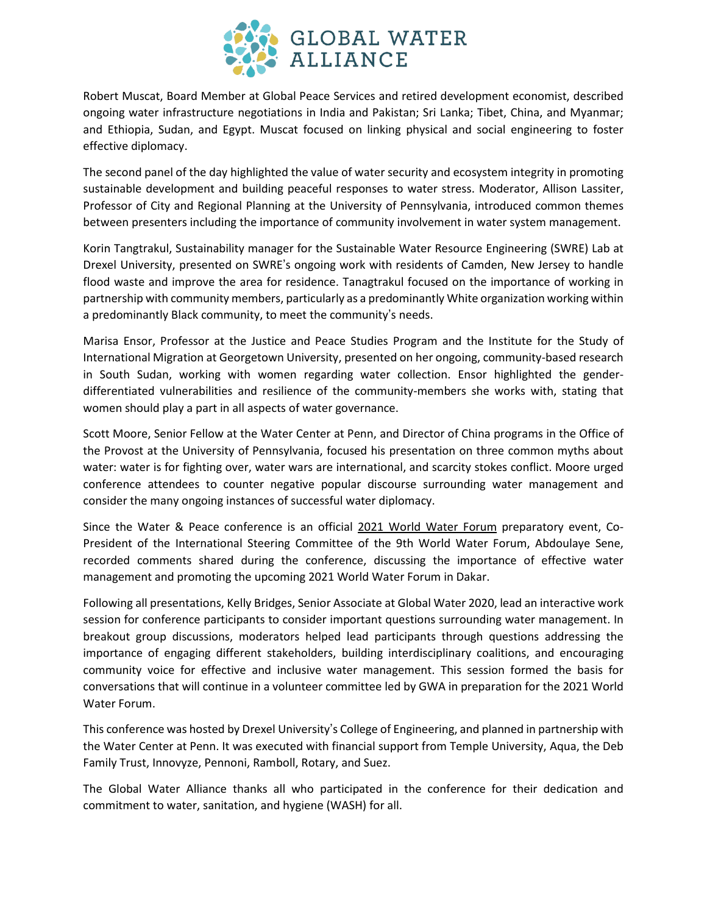

Robert Muscat, Board Member at Global Peace Services and retired development economist, described ongoing water infrastructure negotiations in India and Pakistan; Sri Lanka; Tibet, China, and Myanmar; and Ethiopia, Sudan, and Egypt. Muscat focused on linking physical and social engineering to foster effective diplomacy.

The second panel of the day highlighted the value of water security and ecosystem integrity in promoting sustainable development and building peaceful responses to water stress. Moderator, Allison Lassiter, Professor of City and Regional Planning at the University of Pennsylvania, introduced common themes between presenters including the importance of community involvement in water system management.

Korin Tangtrakul, Sustainability manager for the Sustainable Water Resource Engineering (SWRE) Lab at Drexel University, presented on SWRE's ongoing work with residents of Camden, New Jersey to handle flood waste and improve the area for residence. Tanagtrakul focused on the importance of working in partnership with community members, particularly as a predominantly White organization working within a predominantly Black community, to meet the community's needs.

Marisa Ensor, Professor at the Justice and Peace Studies Program and the Institute for the Study of International Migration at Georgetown University, presented on her ongoing, community-based research in South Sudan, working with women regarding water collection. Ensor highlighted the genderdifferentiated vulnerabilities and resilience of the community-members she works with, stating that women should play a part in all aspects of water governance.

Scott Moore, Senior Fellow at the Water Center at Penn, and Director of China programs in the Office of the Provost at the University of Pennsylvania, focused his presentation on three common myths about water: water is for fighting over, water wars are international, and scarcity stokes conflict. Moore urged conference attendees to counter negative popular discourse surrounding water management and consider the many ongoing instances of successful water diplomacy.

Since the Water & Peace conference is an official 2021 World Water [Forum](https://www.worldwatercouncil.org/en/dakar-2021) preparatory event, Co-President of the International Steering Committee of the 9th World Water Forum, Abdoulaye Sene, recorded comments shared during the conference, discussing the importance of effective water management and promoting the upcoming 2021 World Water Forum in Dakar.

Following all presentations, Kelly Bridges, Senior Associate at Global Water 2020, lead an interactive work session for conference participants to consider important questions surrounding water management. In breakout group discussions, moderators helped lead participants through questions addressing the importance of engaging different stakeholders, building interdisciplinary coalitions, and encouraging community voice for effective and inclusive water management. This session formed the basis for conversations that will continue in a volunteer committee led by GWA in preparation for the 2021 World Water Forum.

This conference was hosted by Drexel University's College of Engineering, and planned in partnership with the Water Center at Penn. It was executed with financial support from Temple University, Aqua, the Deb Family Trust, Innovyze, Pennoni, Ramboll, Rotary, and Suez.

The Global Water Alliance thanks all who participated in the conference for their dedication and commitment to water, sanitation, and hygiene (WASH) for all.